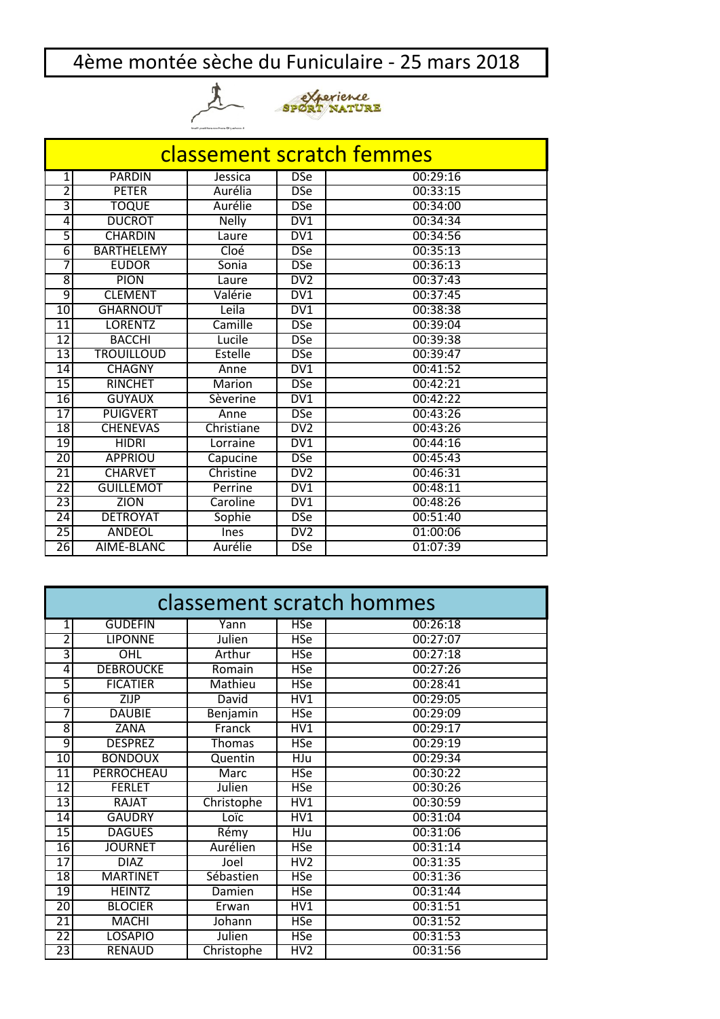## 4ème montée sèche du Funiculaire - 25 mars 2018

## $\lambda$ experience

| classement scratch femmes |                   |               |                 |          |  |  |  |  |
|---------------------------|-------------------|---------------|-----------------|----------|--|--|--|--|
| 1                         | <b>PARDIN</b>     | Jessica       | <b>DSe</b>      | 00:29:16 |  |  |  |  |
| $\overline{2}$            | <b>PETER</b>      | Aurélia       | <b>DSe</b>      | 00:33:15 |  |  |  |  |
| 3                         | <b>TOQUE</b>      | Aurélie       | <b>DSe</b>      | 00:34:00 |  |  |  |  |
| 4                         | <b>DUCROT</b>     | <b>Nelly</b>  | DVI             | 00:34:34 |  |  |  |  |
| $\overline{5}$            | <b>CHARDIN</b>    | Laure         | DV1             | 00:34:56 |  |  |  |  |
| 6                         | <b>BARTHELEMY</b> | Cloé          | <b>DSe</b>      | 00:35:13 |  |  |  |  |
| 7                         | <b>EUDOR</b>      | Sonia         | <b>DSe</b>      | 00:36:13 |  |  |  |  |
| $\overline{8}$            | <b>PION</b>       | Laure         | DV2             | 00:37:43 |  |  |  |  |
| 9                         | <b>CLEMENT</b>    | Valérie       | DV1             | 00:37:45 |  |  |  |  |
| 10                        | <b>GHARNOUT</b>   | Leila         | DV1             | 00:38:38 |  |  |  |  |
| 11                        | <b>LORENTZ</b>    | Camille       | <b>DSe</b>      | 00:39:04 |  |  |  |  |
| 12                        | <b>BACCHI</b>     | Lucile        | <b>DSe</b>      | 00:39:38 |  |  |  |  |
| $\overline{13}$           | <b>TROUILLOUD</b> | Estelle       | <b>DSe</b>      | 00:39:47 |  |  |  |  |
| $\overline{14}$           | <b>CHAGNY</b>     | Anne          | DV1             | 00:41:52 |  |  |  |  |
| $\overline{15}$           | <b>RINCHET</b>    | <b>Marion</b> | <b>DSe</b>      | 00:42:21 |  |  |  |  |
| $\overline{16}$           | <b>GUYAUX</b>     | Sèverine      | DV1             | 00:42:22 |  |  |  |  |
| 17                        | <b>PUIGVERT</b>   | Anne          | <b>DSe</b>      | 00:43:26 |  |  |  |  |
| 18                        | <b>CHENEVAS</b>   | Christiane    | DV <sub>2</sub> | 00:43:26 |  |  |  |  |
| 19                        | <b>HIDRI</b>      | Lorraine      | DV1             | 00:44:16 |  |  |  |  |
| $\overline{20}$           | <b>APPRIOU</b>    | Capucine      | <b>DSe</b>      | 00:45:43 |  |  |  |  |
| $\overline{21}$           | <b>CHARVET</b>    | Christine     | DV <sub>2</sub> | 00:46:31 |  |  |  |  |
| $\overline{22}$           | <b>GUILLEMOT</b>  | Perrine       | DV1             | 00:48:11 |  |  |  |  |
| 23                        | <b>ZION</b>       | Caroline      | DVI             | 00:48:26 |  |  |  |  |
| $\overline{24}$           | <b>DETROYAT</b>   | Sophie        | <b>DSe</b>      | 00:51:40 |  |  |  |  |
| $\overline{25}$           | <b>ANDEOL</b>     | Ines          | DV <sub>2</sub> | 01:00:06 |  |  |  |  |
| 26                        | AIMÉ-BLANC        | Aurélie       | <b>DSe</b>      | 01:07:39 |  |  |  |  |

| classement scratch hommes |                   |               |            |          |  |  |  |  |
|---------------------------|-------------------|---------------|------------|----------|--|--|--|--|
| 1                         | <b>GUDEFIN</b>    | Yann          | <b>HSe</b> | 00:26:18 |  |  |  |  |
| $\overline{2}$            | <b>LIPONNE</b>    | Julien        | HSe        | 00:27:07 |  |  |  |  |
| 3                         | OHL               | Arthur        | <b>HSe</b> | 00:27:18 |  |  |  |  |
| 4                         | <b>DEBROUCKE</b>  | Romain        | HSe        | 00:27:26 |  |  |  |  |
| 5                         | <b>FICATIER</b>   | Mathieu       | <b>HSe</b> | 00:28:41 |  |  |  |  |
| 6                         | <b>ZIJP</b>       | David         | HV1        | 00:29:05 |  |  |  |  |
| 7                         | <b>DAUBIE</b>     | Benjamin      | <b>HSe</b> | 00:29:09 |  |  |  |  |
| $\overline{8}$            | ZANA              | Franck        | HV1        | 00:29:17 |  |  |  |  |
| 9                         | <b>DESPREZ</b>    | <b>Thomas</b> | <b>HSe</b> | 00:29:19 |  |  |  |  |
| $\overline{10}$           | <b>BONDOUX</b>    | Quentin       | HJu        | 00:29:34 |  |  |  |  |
| $\overline{11}$           | <b>PERROCHEAU</b> | Marc          | <b>HSe</b> | 00:30:22 |  |  |  |  |
| 12                        | <b>FERLET</b>     | Julien        | <b>HSe</b> | 00:30:26 |  |  |  |  |
| $\overline{13}$           | <b>RAJAT</b>      | Christophe    | HV1        | 00:30:59 |  |  |  |  |
| 14                        | <b>GAUDRY</b>     | Loïc          | HV1        | 00:31:04 |  |  |  |  |
| 15                        | <b>DAGUES</b>     | Rémy          | HJu        | 00:31:06 |  |  |  |  |
| $\overline{16}$           | <b>JOURNET</b>    | Aurélien      | HSe        | 00:31:14 |  |  |  |  |
| 17                        | <b>DIAZ</b>       | Joel          | HV2        | 00:31:35 |  |  |  |  |
| 18                        | <b>MARTINET</b>   | Sébastien     | <b>HSe</b> | 00:31:36 |  |  |  |  |
| 19                        | <b>HEINTZ</b>     | Damien        | HSe        | 00:31:44 |  |  |  |  |
| 20                        | <b>BLOCIER</b>    | Erwan         | HV1        | 00:31:51 |  |  |  |  |
| $\overline{21}$           | <b>MACHI</b>      | Johann        | HSe        | 00:31:52 |  |  |  |  |
| $\overline{22}$           | <b>LOSAPIO</b>    | Julien        | HSe        | 00:31:53 |  |  |  |  |
| 23                        | <b>RENAUD</b>     | Christophe    | HV2        | 00:31:56 |  |  |  |  |